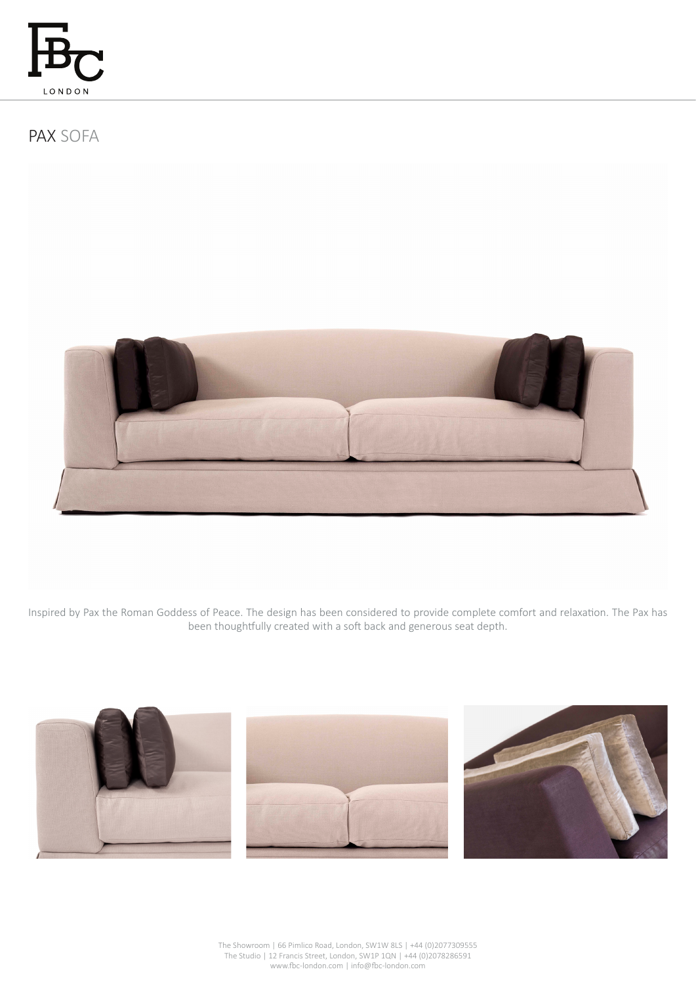

PAX SOFA



Inspired by Pax the Roman Goddess of Peace. The design has been considered to provide complete comfort and relaxation. The Pax has been thoughtfully created with a soft back and generous seat depth.